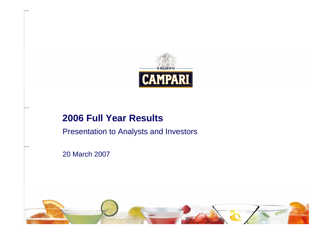

## **2006 Full Year Results**

Presentation to Analysts and Investors

20 March 2007

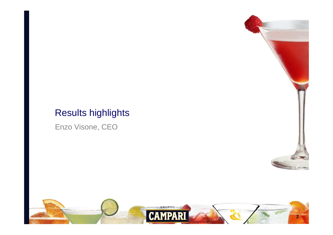## Results highlights

Enzo Visone, CEO



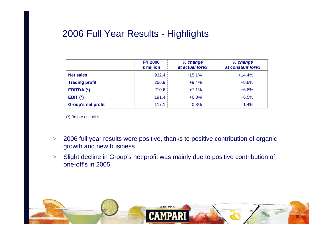## 2006 Full Year Results - Highlights

|                           | <b>FY 2006</b><br>$\epsilon$ million | % change<br>at actual forex | % change<br>at constant forex |
|---------------------------|--------------------------------------|-----------------------------|-------------------------------|
| <b>Net sales</b>          | 932.4                                | $+15.1%$                    | $+14.4%$                      |
| <b>Trading profit</b>     | 256.9                                | $+9.4%$                     | $+8.8%$                       |
| EBITDA (*)                | 210.6                                | $+7.1%$                     | $+6.8%$                       |
| EBIT $(*)$                | 191.4                                | $+6.8%$                     | $+6.5%$                       |
| <b>Group's net profit</b> | 117.1                                | $-0.8%$                     | $-1.4%$                       |

(\*) Before one-off's

- $>$  2006 full year results were positive, thanks to positive contribution of organic growth and new business
- $>$  Slight decline in Group's net profit was mainly due to positive contribution of one-off's in 2005

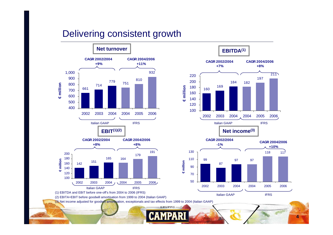### Delivering consistent growth





**4**

(1) EBITDA and EBIT before one-off's from 2004 to 2006 (IFRS)

(2) EBITA=EBIT before goodwill amortisation from 1999 to 2004 (Italian GAAP)

(3) Net income adjusted for goodwill amortisation, exceptionals and tax effects from 1999 to 2004 (Italian GAAP)

**GRUPPO**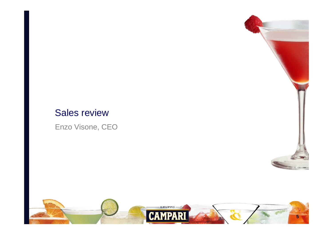## Sales review

Enzo Visone, CEO



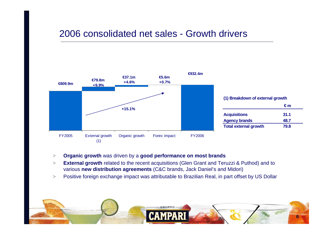### 2006 consolidated net sales - Growth drivers



- >**Organic growth** was driven by a **good performance on most brands**
- >**External growth** related to the recent acquisitions (Glen Grant and Teruzzi & Puthod) and to various **new distribution agreements** (C&C brands, Jack Daniel's and Midori)
- >Positive foreign exchange impact was attributable to Brazilian Real, in part offset by US Dollar

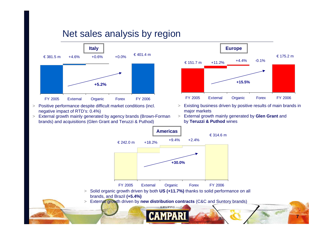## Net sales analysis by region



- > Positive performance despite difficult market conditions (incl. negative impact of RTD's: 0.4%)
- > External growth mainly generated by agency brands (Brown-Forman brands) and acquisitions (Glen Grant and Teruzzi & Puthod)



- > Existing business driven by positive results of main brands in major markets
- > External growth mainly generated by **Glen Grant** and by **Teruzzi & Puthod** wines

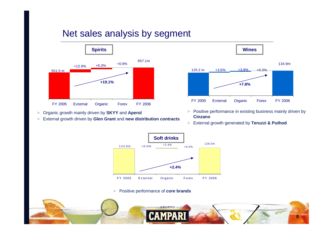## Net sales analysis by segment



>Organic growth mainly driven by **SKYY** and **Aperol**

>External growth driven by **Glen Grant** and **new distribution contracts**



- > Positive performance in existing business mainly driven by **Cinzano**
- > External growth generated by **Teruzzi & Puthod**



> Positive performance of **core brands**

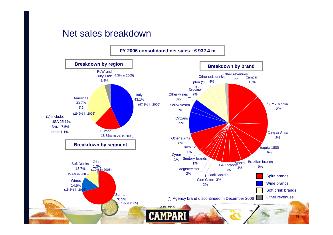### Net sales breakdown

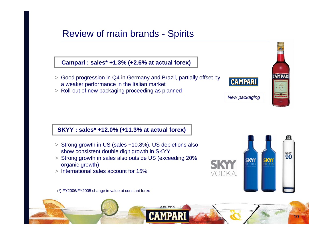## Review of main brands - Spirits

### **Campari : sales\* +1.3% (+2.6% at actual forex)**

- > Good progression in Q4 in Germany and Brazil, partially offset by a weaker performance in the Italian market
- > Roll-out of new packaging proceeding as planned



CAMPAR

 $\overset{\text{SICY}}{90}$ 

New packaging

**SKY1** 

VODKA

**KY** 

#### **SKYY : sales\* +12.0% (+11.3% at actual forex)**

- > Strong growth in US (sales +10.8%). US depletions also show consistent double digit growth in SKYY
- > Strong growth in sales also outside US (exceeding 20% organic growth)
- > International sales account for 15%

(\*) FY2006/FY2005 change in value at constant forex

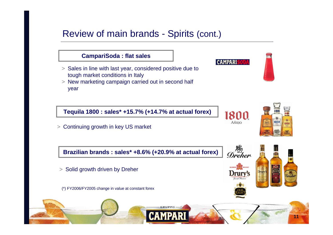## Review of main brands - Spirits (cont.)

### **CampariSoda : flat sales**

- > Sales in line with last year, considered positive due to tough market conditions in Italy
- > New marketing campaign carried out in second half year

**Tequila 1800 : sales\* +15.7% (+14.7% at actual forex)**

> Continuing growth in key US market

**Brazilian brands : sales\* +8.6% (+20.9% at actual forex)**

> Solid growth driven by Dreher

(\*) FY2006/FY2005 change in value at constant forex



Drur

**CAMPARI** 

1800

AÑEJO

the Seater<br>Dreher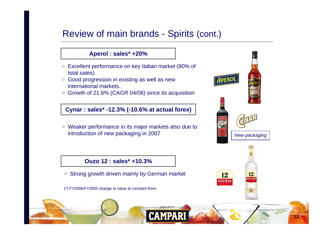## Review of main brands - Spirits (cont.)

### **Aperol : sales\* +20%**

- > Excellent performance on key Italian market (90% of total sales)
- > Good progression in existing as well as new international markets.
- > Growth of 21.6% (CAGR 04/06) since its acquisition

**Cynar : sales\* -12.3% (-10.6% at actual forex)**

> Weaker performance in its major markets also due to introduction of new packaging in 2007

### **Ouzo 12 : sales\* +10.3%**

- > Strong growth driven mainly by German market
- (\*) FY2006/FY2005 change in value at constant forex

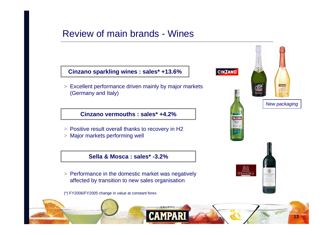## Review of main brands - Wines

### **Cinzano sparkling wines : sales\* +13.6%**

> Excellent performance driven mainly by major markets (Germany and Italy)

### **Cinzano vermouths : sales\* +4.2%**

- > Positive result overall thanks to recovery in H2
- > Major markets performing well

### **Sella & Mosca : sales\* -3.2%**

- > Performance in the domestic market was negatively affected by transition to new sales organisation
- (\*) FY2006/FY2005 change in value at constant forex

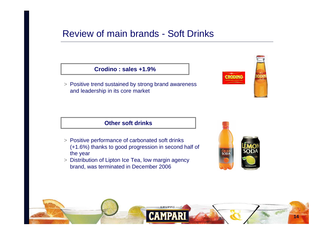## Review of main brands - Soft Drinks

#### **Crodino : sales +1.9%**

> Positive trend sustained by strong brand awareness and leadership in its core market



### **Other soft drinks**

- > Positive performance of carbonated soft drinks (+1.6%) thanks to good progression in second half of the year
- > Distribution of Lipton Ice Tea, low margin agency brand, was terminated in December 2006



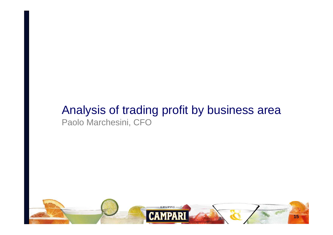# Analysis of trading profit by business area Paolo Marchesini, CFO

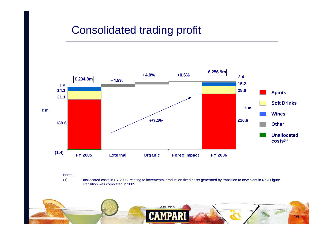# Consolidated trading profit



Notes:

(1) Unallocated costs in FY 2005 relating to incremental production fixed costs generated by transition to new plant in Novi Ligure. Transition was completed in 2005.

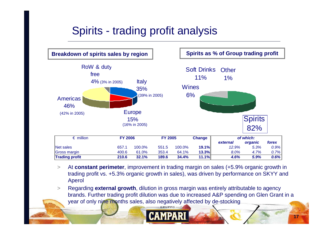# Spirits - trading profit analysis



 $\geq$  At **constant perimeter**, improvement in trading margin on sales (+5.9% organic growth in trading profit vs. +5.3% organic growth in sales), was driven by performance on SKYY and Aperol

 $>$  Regarding **external growth**, dilution in gross margin was entirely attributable to agency brands. Further trading profit dilution was due to increased A&P spending on Glen Grant in a year of only nine months sales, also negatively affected by de-stocking



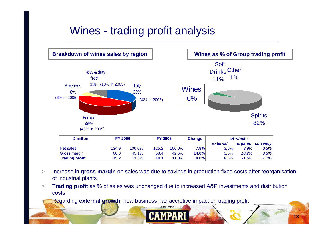# Wines - trading profit analysis



> Increase in **gross margin** on sales was due to savings in production fixed costs after reorganisation of industrial plants

**18**

 **Trading profit** as % of sales was unchanged due to increased A&P investments and distribution >costs

**Regarding external growth**, new business had accretive impact on trading profit

>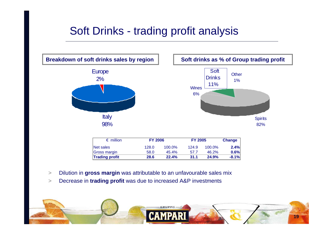# Soft Drinks - trading profit analysis



>Dilution in **gross margin** was attributable to an unfavourable sales mix

**28.6**

 $\geq$ Decrease in **trading profit** was due to increased A&P investments

**Trading profit**



**22.4%**

**31.1 24.9% -8.1%**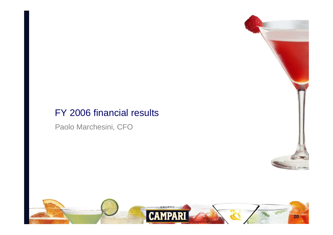## FY 2006 financial results

Paolo Marchesini, CFO



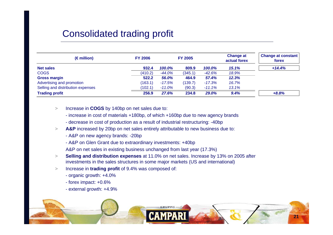## Consolidated trading profit

| $(\epsilon$ million)              | <b>FY 2006</b> |           | <b>FY 2005</b> |              | <b>Change at</b><br>actual forex | <b>Change at constant</b><br>forex |
|-----------------------------------|----------------|-----------|----------------|--------------|----------------------------------|------------------------------------|
| <b>Net sales</b>                  | 932.4          | 100.0%    | 809.9          | 100.0%       | 15.1%                            | $+14.4%$                           |
| <b>COGS</b>                       | (410.2)        | -44.0%    | (345.1)        | -42.6%       | 18.9%                            |                                    |
| <b>Gross margin</b>               | 522.2          | 56.0%     | 464.9          | 57.4%        | 12.3%                            |                                    |
| Advertising and promotion         | (163.1)        | $-17.5\%$ | (139.7)        | $-17.3%$     | 16.7%                            |                                    |
| Selling and distribution expenses | (102.1)        | $-11.0\%$ | (90.3)         | $-11.1%$     | 13.1%                            |                                    |
| <b>Trading profit</b>             | 256.9          | 27.6%     | 234.8          | <b>29.0%</b> | 9.4%                             | $+8.8%$                            |

- > Increase in **COGS** by 140bp on net sales due to:
	- increase in cost of materials +180bp, of which +160bp due to new agency brands
	- decrease in cost of production as a result of industrial restructuring: -40bp
- >A&P increased by 20bp on net sales entirely attributable to new business due to:
	- A&P on new agency brands: -20bp
	- A&P on Glen Grant due to extraordinary investments: +40bp
	- A&P on net sales in existing business unchanged from last year (17.3%)
- > **Selling and distribution expenses** at 11.0% on net sales. Increase by 13% on 2005 after investments in the sales structures in some major markets (US and international)
- > Increase in **trading profit** of 9.4% was composed of:
	- organic growth: +4.0%
	- forex impact: +0.6%
	- external growth: +4.9%

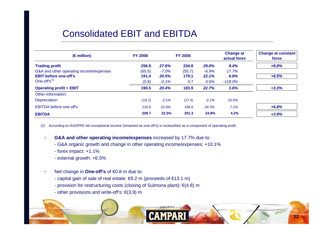## Consolidated EBIT and EBITDA

| $(\epsilon$ million)                    | <b>FY 2006</b> |          | <b>FY 2005</b> |         | <b>Change at</b><br>actual forex | <b>Change at constant</b><br>forex |
|-----------------------------------------|----------------|----------|----------------|---------|----------------------------------|------------------------------------|
| <b>Trading profit</b>                   | 256.9          | 27.6%    | 234.8          | 29.0%   | 9.4%                             | $+8.8%$                            |
| G&A and other operating income/expenses | (65.5)         | $-7.0\%$ | (55.7)         | $-6.9%$ | 17.7%                            |                                    |
| <b>EBIT</b> before one-off's            | 191.4          | 20.5%    | 179.1          | 22.1%   | 6.8%                             | $+6.5%$                            |
| One-off's $(1)$                         | (0.8)          | $-0.1%$  | 4.7            | 0.6%    | $-118.0\%$                       |                                    |
| <b>Operating profit = EBIT</b>          | 190.5          | 20.4%    | 183.9          | 22.7%   | 3.6%                             | $+3.3%$                            |
| Other information:                      |                |          |                |         |                                  |                                    |
| Depreciation                            | (19.2)         | $-2.1%$  | (17.4)         | $-2.1%$ | 10.5%                            |                                    |
| <b>EBITDA</b> before one-off's          | 210.6          | 22.6%    | 196.6          | 24.3%   | 7.1%                             | $+6.8%$                            |
| <b>EBITDA</b>                           | 209.7          | 22.5%    | 201.3          | 24.8%   | 4.2%                             | $+3.9%$                            |

(1) According to IAS/IFRS net exceptional income (renamed as one-off's) is reclassified as a component of operating profit.

>**G&A and other operating income/expenses** increased by 17.7% due to:

- G&A organic growth and change in other operating income/expenses: +10.1%
- forex impact: +1.1%
- external growth: +6.5%
- >Net change in **One-off's** of €0.8 m due to:
	- capital gain of sale of real estate: €9.2 m (proceeds of €13.1 m)
	- provision for restructuring costs (closing of Sulmona plant): €(4.8) m
	- other provisions and write-off's: €(3.9) m

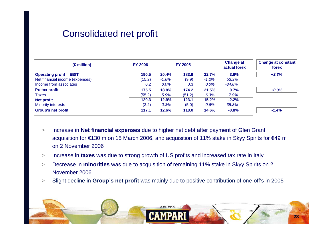## Consolidated net profit

| $(\epsilon$ million)            | <b>FY 2006</b> |              | <b>FY 2005</b> |          | <b>Change at</b><br>actual forex | <b>Change at constant</b><br>forex |
|---------------------------------|----------------|--------------|----------------|----------|----------------------------------|------------------------------------|
| <b>Operating profit = EBIT</b>  | 190.5          | <b>20.4%</b> | 183.9          | 22.7%    | 3.6%                             | $+3.3%$                            |
| Net financial income (expenses) | (15.2)         | $-1.6%$      | (9.9)          | $-1.2\%$ | 53.3%                            |                                    |
| Income from associates          | 0.2            | $0.0\%$      | 0.3            | $0.0\%$  | $-34.8%$                         |                                    |
| <b>Pretax profit</b>            | 175.5          | 18.8%        | 174.2          | 21.5%    | 0.7%                             | $+0.3%$                            |
| Taxes                           | (55.2)         | $-5.9%$      | (51.2)         | $-6.3%$  | 7.9%                             |                                    |
| <b>Net profit</b>               | 120.3          | 12.9%        | 123.1          | 15.2%    | $-2.2%$                          |                                    |
| <b>Minority interests</b>       | (3.2)          | $-0.3%$      | (5.0)          | $-0.6%$  | $-35.8\%$                        |                                    |
| <b>Group's net profit</b>       | 117.1          | 12.6%        | 118.0          | 14.6%    | $-0.8%$                          | $-1.4%$                            |

- > Increase in **Net financial expenses** due to higher net debt after payment of Glen Grant acquisition for €130 m on 15 March 2006, and acquisition of 11% stake in Skyy Spirits for €49 m on 2 November 2006
- >Increase in **taxes** was due to strong growth of US profits and increased tax rate in Italy
- $>$  Decrease in **minorities** was due to acquisition of remaining 11% stake in Skyy Spirits on 2 November 2006
- Slight decline in **Group's net profit** was mainly due to positive contribution of one-off's in 2005  $\geq$

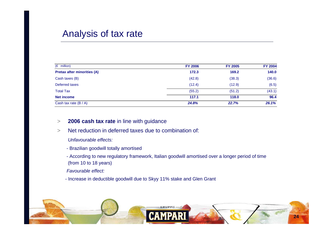### Analysis of tax rate

| $(\epsilon$ million)               | <b>FY 2006</b> | <b>FY 2005</b> | <b>FY 2004</b> |
|------------------------------------|----------------|----------------|----------------|
| <b>Pretax after minorities (A)</b> | 172.3          | 169.2          | 140.0          |
| Cash taxes (B)                     | (42.8)         | (38.3)         | (36.6)         |
| Deferred taxes                     | (12.4)         | (12.9)         | (6.5)          |
| <b>Total Tax</b>                   | (55.2)         | (51.2)         | (43.1)         |
| <b>Net income</b>                  | 117.1          | 118.0          | 96.4           |
| Cash tax rate $(B / A)$            | 24.8%          | 22.7%          | 26.1%          |

 $>$ **2006 cash tax rate** in line with guidance

 $\geq$ Net reduction in deferred taxes due to combination of:

Unfavourable effects:

- Brazilian goodwill totally amortised
- According to new regulatory framework, Italian goodwill amortised over a longer period of time (from 10 to 18 years)

Favourable effect:

- Increase in deductible goodwill due to Skyy 11% stake and Glen Grant

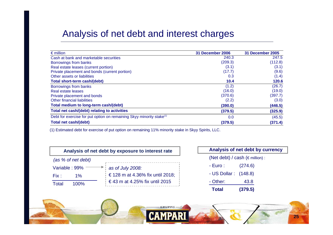### Analysis of net debt and interest charges

| $\epsilon$ million                                                               | 31 December 2006 | <b>31 December 2005</b> |
|----------------------------------------------------------------------------------|------------------|-------------------------|
| Cash at bank and marketable securities                                           | 240.3            | 247.5                   |
| Borrowings from banks                                                            | (209.3)          | (112.8)                 |
| Real estate leases (current portion)                                             | (3.1)            | (3.1)                   |
| Private placement and bonds (current portion)                                    | (17.7)           | (9.6)                   |
| Other assets or liabilities                                                      | 0.3              | (1.4)                   |
| Total short-term cash/(debt)                                                     | 10.4             | 120.6                   |
| Borrowings from banks                                                            | (1.2)            | (26.7)                  |
| Real estate leases                                                               | (16.0)           | (19.0)                  |
| Private placement and bonds                                                      | (370.6)          | (397.7)                 |
| Other financial liabilities                                                      | (2.2)            | (3.0)                   |
| Total medium to long-term cash/(debt)                                            | (390.0)          | (446.5)                 |
| Total net cash/(debt) relating to activities                                     | (379.5)          | (325.9)                 |
| Debt for exercise for put option on remaining Skyy minority stake <sup>(1)</sup> | 0.0              | (45.5)                  |
| <b>Total net cash/(debt)</b>                                                     | (379.5)          | (371.4)                 |

(1) Estimated debt for exercise of put option on remaining 11% minority stake in Skyy Spirits, LLC.



|                      | Analysis of net debt by currency          |  |
|----------------------|-------------------------------------------|--|
|                      | (Net debt) / cash ( $\epsilon$ million) : |  |
| - Euro :             | (274.6)                                   |  |
| - US Dollar: (148.8) |                                           |  |
| - Other:             | 43.8                                      |  |
| <b>Total</b>         | (379.5)                                   |  |

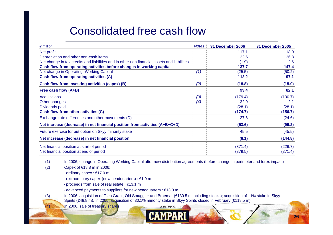# Consolidated free cash flow

| $\epsilon$ million                                                                          | <b>Notes</b> | 31 December 2006 | 31 December 2005 |
|---------------------------------------------------------------------------------------------|--------------|------------------|------------------|
| Net profit                                                                                  |              | 117.1            | 118.0            |
| Depreciation and other non-cash items                                                       |              | 22.6             | 26.8             |
| Net change in tax credits and liabilities and in other non financial assets and liabilities |              | (1.9)            | 2.6              |
| Cash flow from operating activities before changes in working capital                       |              | 137.7            | 147.4            |
| Net change in Operating Working Capital                                                     | (1)          | (25.5)           | (50.2)           |
| Cash flow from operating activities (A)                                                     |              | 112.2            | 97.1             |
| Cash flow from investing activities (capex) (B)                                             | (2)          | (18.8)           | (15.0)           |
| Free cash flow (A+B)                                                                        |              | 93.4             | 82.1             |
| <b>Acquisitions</b>                                                                         | (3)          | (179.4)          | (130.7)          |
| Other changes                                                                               | (4)          | 32.9             | 2.1              |
| Dividends paid                                                                              |              | (28.1)           | (28.1)           |
| Cash flow from other activities (C)                                                         |              | (174.7)          | (156.7)          |
| Exchange rate differences and other movements (D)                                           |              | 27.6             | (24.6)           |
| Net increase (decrease) in net financial position from activities (A+B+C+D)                 |              | (53.6)           | (99.2)           |
| Future exercise for put option on Skyy minority stake                                       |              | 45.5             | (45.5)           |
| Net increase (decrease) in net financial position                                           |              | (8.1)            | (144.8)          |
| Net financial position at start of period                                                   |              | (371.4)          | (226.7)          |
| Net financial position at end of period                                                     |              | (379.5)          | (371.4)          |

(1) In 2006, change in Operating Working Capital after new distribution agreements (before change in perimeter and forex impact)

(2) Capex of €18.8 m in 2006:

- ordinary capex : €17.0 m

- extraordinary capex (new headquarters) : €1.9 m
- proceeds from sale of real estate : €13.1 m
- advanced payments to suppliers for new headquarters : €13.0 m

 (3) In 2006, acquisition of Glen Grant, Old Smuggler and Braemar (€130.5 m including stocks); acquisition of 11% stake in Skyy Spirits (€48.8 m). In 2005, acquisition of 30.1% minority stake in Skyy Spirits closed in February (€118.5 m).

(4) In 2006, sale of treasury shares

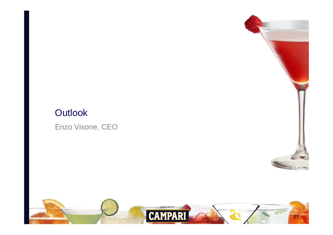# **Outlook**

Enzo Visone, CEO



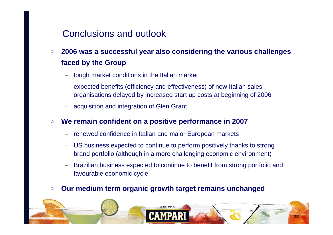## Conclusions and outlook

- $\geq$  **2006 was a successful year also considering the various challenges faced by the Group**
	- tough market conditions in the Italian market
	- expected benefits (efficiency and effectiveness) of new Italian sales organisations delayed by increased start up costs at beginning of 2006
	- acquisition and integration of Glen Grant

#### >**We remain confident on a positive performance in 2007**

- renewed confidence in Italian and major European markets
- – US business expected to continue to perform positively thanks to strong brand portfolio (although in a more challenging economic environment)
- Brazilian business expected to continue to benefit from strong portfolio and favourable economic cycle.

#### $>$ **Our medium term organic growth target remains unchanged**

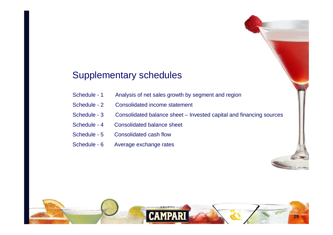## Supplementary schedules

- Schedule 1 Analysis of net sales growth by segment and region
- Schedule 2 Consolidated income statement
- Schedule 3 Consolidated balance sheet Invested capital and financing sources
- Schedule 4 Consolidated balance sheet
- Schedule 5 Consolidated cash flow
- Schedule 6 Average exchange rates

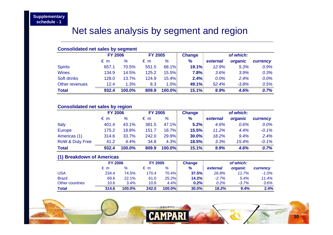## Net sales analysis by segment and region

#### **Consolidated net sales by segment**

|                | <b>FY 2006</b> |        | <b>FY 2005</b> |        | <b>Change</b> | of which: |         |          |  |
|----------------|----------------|--------|----------------|--------|---------------|-----------|---------|----------|--|
|                | $\epsilon$ m   | %      | $\epsilon$ m   | %      | $\frac{9}{6}$ | external  | organic | currency |  |
| <b>Spirits</b> | 657.1          | 70.5%  | 551.5          | 68.1%  | 19.1%         | 12.9%     | 5.3%    | 0.9%     |  |
| <b>Wines</b>   | 134.9          | 14.5%  | 125.2          | 15.5%  | 7.8%          | 3.6%      | 3.9%    | 0.3%     |  |
| Soft drinks    | 128.0          | 13.7%  | 124.9          | 15.4%  | 2.4%          | $0.0\%$   | 2.4%    | 0.0%     |  |
| Other revenues | 12.4           | 1.3%   | 8.3            | 1.0%   | 49.1%         | 52.4%     | $-3.8%$ | 0.5%     |  |
| <b>Total</b>   | 932.4          | 100.0% | 809.9          | 100.0% | 15.1%         | 9.9%      | 4.6%    | 0.7%     |  |

#### **Consolidated net sales by region**

|                            | <b>FY 2006</b> |        | <b>FY 2005</b> |        | <b>Change</b> | of which: |         |          |
|----------------------------|----------------|--------|----------------|--------|---------------|-----------|---------|----------|
|                            | $\epsilon$ m   | %      | $\epsilon$ m   | %      | $\%$          | external  | organic | currency |
| Italy                      | 401.4          | 43.1%  | 381.5          | 47.1%  | 5.2%          | 4.6%      | 0.6%    | $0.0\%$  |
| <b>Europe</b>              | 175.2          | 18.8%  | 151.7          | 18.7%  | 15.5%         | 11.2%     | 4.4%    | $-0.1%$  |
| Americas (1)               | 314.6          | 33.7%  | 242.0          | 29.9%  | 30.0%         | 18.2%     | 9.4%    | 2.4%     |
| <b>RoW &amp; Duty Free</b> | 41.2           | 4.4%   | 34.8           | 4.3%   | 18.5%         | 3.3%      | 15.4%   | $-0.1%$  |
| <b>Total</b>               | 932.4          | 100.0% | 809.9          | 100.0% | 15.1%         | 9.9%      | 4.6%    | 0.7%     |

#### **(1) Breakdown of Americas**

|                 |       | <b>FY 2006</b> |       | <b>FY 2005</b><br>Change |       | of which: |         |          |  |
|-----------------|-------|----------------|-------|--------------------------|-------|-----------|---------|----------|--|
|                 | € m   | %              | € m   | %                        | %     | external  | organic | currency |  |
| USA             | 234.4 | 74.5%          | 170.4 | 70.4%I                   | 37.5% | 26.8%     | 11.7%   | $-1.0\%$ |  |
| <b>Brazil</b>   | 69.6  | 22.1%          | 61.0  | 25.2%                    | 14.2% | $-2.7%$   | 5.4%    | 11.4%    |  |
| Other countries | 10.6  | 3.4%           | 10.6  | 4.4%                     | 0.2%  | $0.2\%$   | $-3.7%$ | 3.6%     |  |
| Total           | 314.6 | 100.0%         | 242.0 | $100.0\%$                | 30.0% | 18.2%     | 9.4%    | 2.4%     |  |

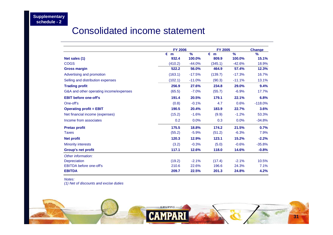## Consolidated income statement

|                                         | <b>FY 2006</b> |               | <b>FY 2005</b> |               | <b>Change</b> |
|-----------------------------------------|----------------|---------------|----------------|---------------|---------------|
|                                         | $\epsilon$ m   | $\frac{9}{6}$ | $\epsilon$ m   | $\frac{9}{6}$ | $\%$          |
| Net sales (1)                           | 932.4          | 100.0%        | 809.9          | 100.0%        | 15.1%         |
| <b>COGS</b>                             | (410.2)        | $-44.0%$      | (345.1)        | $-42.6%$      | 18.9%         |
| <b>Gross margin</b>                     | 522.2          | 56.0%         | 464.9          | 57.4%         | 12.3%         |
| Advertising and promotion               | (163.1)        | $-17.5%$      | (139.7)        | $-17.3%$      | 16.7%         |
| Selling and distribution expenses       | (102.1)        | $-11.0%$      | (90.3)         | $-11.1%$      | 13.1%         |
| <b>Trading profit</b>                   | 256.9          | 27.6%         | 234.8          | 29.0%         | 9.4%          |
| G&A and other operating income/expenses | (65.5)         | $-7.0%$       | (55.7)         | $-6.9%$       | 17.7%         |
| <b>EBIT before one-off's</b>            | 191.4          | 20.5%         | 179.1          | 22.1%         | 6.8%          |
| One-off's                               | (0.8)          | $-0.1%$       | 4.7            | 0.6%          | $-118.0%$     |
| <b>Operating profit = EBIT</b>          | 190.5          | 20.4%         | 183.9          | 22.7%         | 3.6%          |
| Net financial income (expenses)         | (15.2)         | $-1.6%$       | (9.9)          | $-1.2%$       | 53.3%         |
| Income from associates                  | 0.2            | 0.0%          | 0.3            | 0.0%          | $-34.8%$      |
| <b>Pretax profit</b>                    | 175.5          | 18.8%         | 174.2          | 21.5%         | 0.7%          |
| <b>Taxes</b>                            | (55.2)         | $-5.9%$       | (51.2)         | $-6.3%$       | 7.9%          |
| <b>Net profit</b>                       | 120.3          | 12.9%         | 123.1          | 15.2%         | $-2.2%$       |
| <b>Minority interests</b>               | (3.2)          | $-0.3%$       | (5.0)          | $-0.6%$       | $-35.8%$      |
| <b>Group's net profit</b>               | 117.1          | 12.6%         | 118.0          | 14.6%         | $-0.8%$       |
| Other information:                      |                |               |                |               |               |
| <b>Depreciation</b>                     | (19.2)         | $-2.1%$       | (17.4)         | $-2.1%$       | 10.5%         |
| <b>EBITDA</b> before one-off's          | 210.6          | 22.6%         | 196.6          | 24.3%         | 7.1%          |
| <b>EBITDA</b>                           | 209.7          | 22.5%         | 201.3          | 24.8%         | 4.2%          |

Notes:

(1) Net of discounts and excise duties

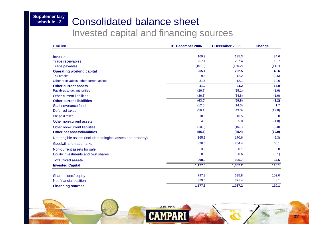#### **Supplementary schedule - 3**

## Consolidated balance sheet

Invested capital and financing sources

| $\epsilon$ million                                            | 31 December 2006 | 31 December 2005 | <b>Change</b> |
|---------------------------------------------------------------|------------------|------------------|---------------|
|                                                               |                  |                  |               |
| <b>Inventories</b>                                            | 169.9            | 135.3            | 34.6          |
| <b>Trade receivables</b>                                      | 257.1            | 237.4            | 19.7          |
| <b>Trade payables</b>                                         | (161.9)          | (150.2)          | (11.7)        |
| <b>Operating working capital</b>                              | 265.1            | 222.5            | 42.6          |
| <b>Tax credits</b>                                            | 9.6              | 12.2             | (2.6)         |
| Other receivables, other current assets                       | 31.6             | 12.1             | 19.6          |
| <b>Other current assets</b>                                   | 41.2             | 24.2             | 17.0          |
| Payables to tax authorities                                   | (26.7)           | (25.1)           | (1.6)         |
| <b>Other current liabilities</b>                              | (36.3)           | (34.8)           | (1.6)         |
| <b>Other current liabilities</b>                              | (63.0)           | (59.8)           | (3.2)         |
| Staff severance fund                                          | (12.6)           | (14.3)           | 1.7           |
| Deferred taxes                                                | (56.1)           | (43.3)           | (12.8)        |
| Pre-paid taxes                                                | 18.5             | 16.5             | 2.0           |
| Other non-current assets                                      | 4.8              | 5.8              | (1.0)         |
| Other non-current liabilities                                 | (10.9)           | (10.1)           | (0.8)         |
| <b>Other net assets/liabilities</b>                           | (56.3)           | (45.4)           | (10.9)        |
| Net tangible assets (included biological assets and property) | 165.3            | 170.6            | (5.3)         |
| Goodwill and trademarks                                       | 820.5            | 754.4            | 66.1          |
| Non-current assets for sale                                   | 3.9              | 0.1              | 3.8           |
| Equity investments and own shares                             | 0.5              | 0.6              | (0.1)         |
| <b>Total fixed assets</b>                                     | 990.3            | 925.7            | 64.6          |
| <b>Invested Capital</b>                                       | 1,177.3          | 1,067.2          | 110.1         |
|                                                               |                  |                  |               |
| Shareholders' equity                                          | 797.8            | 695.8            | 102.0         |
| Net financial position                                        | 379.5            | 371.4            | 8.1           |
| <b>Financing sources</b>                                      | 1,177.3          | 1,067.2          | 110.1         |

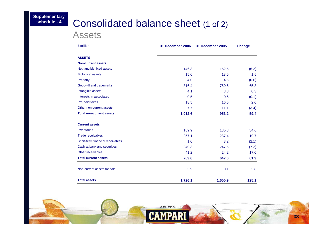## Consolidated balance sheet (1 of 2)

Assets

| $\epsilon$ million                         | 31 December 2006 | 31 December 2005 | <b>Change</b> |
|--------------------------------------------|------------------|------------------|---------------|
| <b>ASSETS</b>                              |                  |                  |               |
| <b>Non-current assets</b>                  |                  |                  |               |
| Net tangible fixed assets                  | 146.3            | 152.5            | (6.2)         |
| <b>Biological assets</b>                   | 15.0             | 13.5             | 1.5           |
| Property                                   | 4.0              | 4.6              | (0.6)         |
| Goodwill and trademarks                    | 816.4            | 750.6            | 65.8          |
| Intangible assets                          | 4.1              | 3.8              | 0.3           |
| Interests in associates                    | 0.5              | 0.6              | (0.1)         |
| Pre-paid taxes<br>Other non-current assets | 18.5             | 16.5<br>11.1     | 2.0<br>(3.4)  |
|                                            | 7.7              |                  |               |
| <b>Total non-current assets</b>            | 1,012.6          | 953.2            | 59.4          |
| <b>Current assets</b>                      |                  |                  |               |
| Inventories                                | 169.9            | 135.3            | 34.6          |
| <b>Trade receivables</b>                   | 257.1            | 237.4            | 19.7          |
| Short-term financial receivables           | 1.0              | 3.2              | (2.1)         |
| Cash at bank and securities                | 240.3            | 247.5            | (7.2)         |
| Other receivables                          | 41.2             | 24.2             | 17.0          |
| <b>Total current assets</b>                | 709.6            | 647.6            | 61.9          |
| Non-current assets for sale                | 3.9              | 0.1              | 3.8           |
| <b>Total assets</b>                        | 1,726.1          | 1,600.9          | 125.1         |

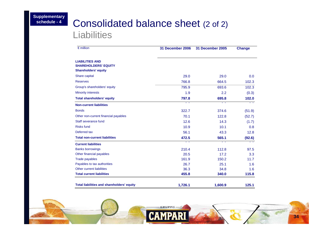# Consolidated balance sheet (2 of 2)

**Liabilities** 

| $\epsilon$ million                                                                   | 31 December 2006 | 31 December 2005 | <b>Change</b> |
|--------------------------------------------------------------------------------------|------------------|------------------|---------------|
| <b>LIABILITIES AND</b><br><b>SHAREHOLDERS' EQUITY</b><br><b>Shareholders' equity</b> |                  |                  |               |
| Share capital                                                                        | 29.0             | 29.0             | 0.0           |
| <b>Reserves</b>                                                                      | 766.8            | 664.5            | 102.3         |
| Group's shareholders' equity                                                         | 795.9            | 693.6            | 102.3         |
| <b>Minority interests</b>                                                            | 1.9              | 2.2              | (0.3)         |
| <b>Total shareholders' equity</b>                                                    | 797.8            | 695.8            | 102.0         |
| <b>Non-current liabilities</b>                                                       |                  |                  |               |
| <b>Bonds</b>                                                                         | 322.7            | 374.6            | (51.9)        |
| Other non-current financial payables                                                 | 70.1             | 122.8            | (52.7)        |
| Staff severance fund                                                                 | 12.6             | 14.3             | (1.7)         |
| <b>Risks fund</b>                                                                    | 10.9             | 10.1             | 0.8           |
| Deferred tax                                                                         | 56.1             | 43.3             | 12.8          |
| <b>Total non-current liabilities</b>                                                 | 472.5            | 565.1            | (92.6)        |
| <b>Current liabilities</b>                                                           |                  |                  |               |
| <b>Banks borrowings</b>                                                              | 210.4            | 112.8            | 97.5          |
| Other financial payables                                                             | 20.5             | 17.2             | 3.3           |
| <b>Trade payables</b>                                                                | 161.9            | 150.2            | 11.7          |
| Payables to tax authorities                                                          | 26.7             | 25.1             | 1.6           |
| Other current liabilities                                                            | 36.3             | 34.8             | 1.6           |
| <b>Total current liabilities</b>                                                     | 455.8            | 340.0            | 115.8         |
| <b>Total liabilities and shareholders' equity</b>                                    | 1,726.1          | 1,600.9          | 125.1         |

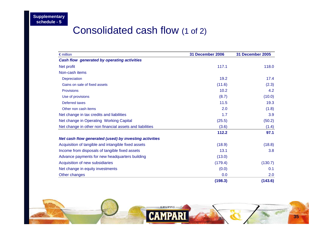# Consolidated cash flow (1 of 2)

| $\epsilon$ million                                       | 31 December 2006 | 31 December 2005 |
|----------------------------------------------------------|------------------|------------------|
| Cash flow generated by operating activities              |                  |                  |
| Net profit                                               | 117.1            | 118.0            |
| Non-cash items                                           |                  |                  |
| Depreciation                                             | 19.2             | 17.4             |
| Gains on sale of fixed assets                            | (11.6)           | (2.3)            |
| <b>Provisions</b>                                        | 10.2             | 4.2              |
| Use of provisions                                        | (8.7)            | (10.0)           |
| <b>Deferred taxes</b>                                    | 11.5             | 19.3             |
| Other non cash items                                     | 2.0              | (1.8)            |
| Net change in tax credits and liabilities                | 1.7              | 3.9              |
| Net change in Operating Working Capital                  | (25.5)           | (50.2)           |
| Net change in other non financial assets and liabilities | (3.6)            | (1.4)            |
|                                                          | 112.2            | 97.1             |
| Net cash flow generated (used) by investing activities   |                  |                  |
| Acquisition of tangible and intangible fixed assets      | (18.9)           | (18.8)           |
| Income from disposals of tangible fixed assets           | 13.1             | 3.8              |
| Advance payments for new headquarters building           | (13.0)           |                  |
| Acquisition of new subsidiaries                          | (179.4)          | (130.7)          |
| Net change in equity investments                         | (0.0)            | 0.1              |
| Other changes                                            | 0.0              | 2.0              |
|                                                          | (198.3)          | (143.6)          |

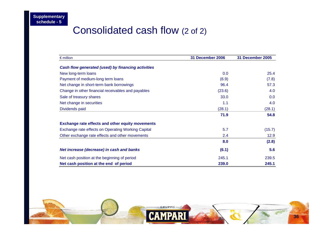# Consolidated cash flow (2 of 2)

| $\epsilon$ million                                      | 31 December 2006 | 31 December 2005 |
|---------------------------------------------------------|------------------|------------------|
| Cash flow generated (used) by financing activities      |                  |                  |
| New long-term loans                                     | 0.0              | 25.4             |
| Payment of medium-long term loans                       | (6.9)            | (7.8)            |
| Net change in short-term bank borrowings                | 96.4             | 57.3             |
| Change in other financial receivables and payables      | (23.6)           | 4.0              |
| Sale of treasury shares                                 | 33.0             | 0.0              |
| Net change in securities                                | 1.1              | 4.0              |
| Dividends paid                                          | (28.1)           | (28.1)           |
|                                                         | 71.9             | 54.8             |
| <b>Exchange rate effects and other equity movements</b> |                  |                  |
| Exchange rate effects on Operating Working Capital      | 5.7              | (15.7)           |
| Other exchange rate effects and other movements         | 2.4              | 12.9             |
|                                                         | 8.0              | (2.8)            |
| Net increase (decrease) in cash and banks               | (6.1)            | 5.6              |
| Net cash position at the beginning of period            | 245.1            | 239.5            |
| Net cash position at the end of period                  | 239.0            | 245.1            |

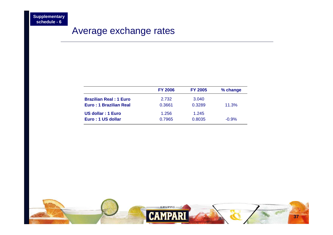## Average exchange rates

|                               | <b>FY 2006</b> | <b>FY 2005</b> | % change |
|-------------------------------|----------------|----------------|----------|
| <b>Brazilian Real: 1 Euro</b> | 2.732          | 3.040          |          |
| Euro: 1 Brazilian Real        | 0.3661         | 0.3289         | 11.3%    |
| US dollar: 1 Euro             | 1.256          | 1.245          |          |
| Euro: 1 US dollar             | 0.7965         | 0.8035         | $-0.9%$  |